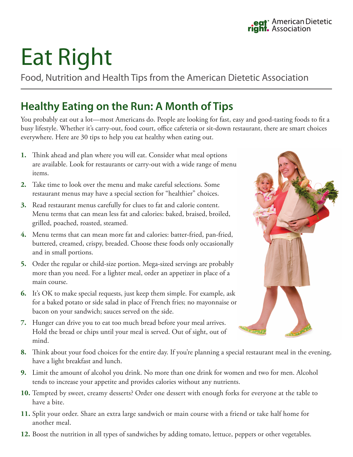## Eat Right

Food, Nutrition and Health Tips from the American Dietetic Association

## **Healthy Eating on the Run: A Month of Tips**

You probably eat out a lot—most Americans do. People are looking for fast, easy and good-tasting foods to fit a busy lifestyle. Whether it's carry-out, food court, office cafeteria or sit-down restaurant, there are smart choices everywhere. Here are 30 tips to help you eat healthy when eating out.

- **1.** Think ahead and plan where you will eat. Consider what meal options are available. Look for restaurants or carry-out with a wide range of menu items.
- **2.** Take time to look over the menu and make careful selections. Some restaurant menus may have a special section for "healthier" choices.
- **3.** Read restaurant menus carefully for clues to fat and calorie content. Menu terms that can mean less fat and calories: baked, braised, broiled, grilled, poached, roasted, steamed.
- **4.** Menu terms that can mean more fat and calories: batter-fried, pan-fried, buttered, creamed, crispy, breaded. Choose these foods only occasionally and in small portions.
- **5.** Order the regular or child-size portion. Mega-sized servings are probably more than you need. For a lighter meal, order an appetizer in place of a main course.
- **6.** It's OK to make special requests, just keep them simple. For example, ask for a baked potato or side salad in place of French fries; no mayonnaise or bacon on your sandwich; sauces served on the side.
- **7.** Hunger can drive you to eat too much bread before your meal arrives. Hold the bread or chips until your meal is served. Out of sight, out of mind.
- **8.** Think about your food choices for the entire day. If you're planning a special restaurant meal in the evening, have a light breakfast and lunch.
- **9.** Limit the amount of alcohol you drink. No more than one drink for women and two for men. Alcohol tends to increase your appetite and provides calories without any nutrients.
- **10.** Tempted by sweet, creamy desserts? Order one dessert with enough forks for everyone at the table to have a bite.
- **11.** Split your order. Share an extra large sandwich or main course with a friend or take half home for another meal.
- **12.** Boost the nutrition in all types of sandwiches by adding tomato, lettuce, peppers or other vegetables.